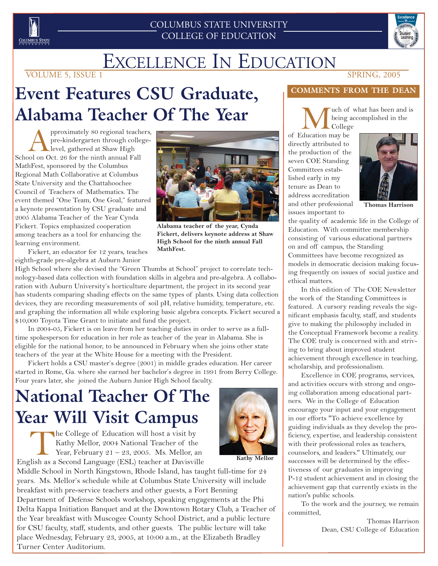

#### COLUMBUS STATE UNIVERSITY COLLEGE OF EDUCATION



# **Event Features CSU Graduate, Alabama Teacher Of The Year**

pproximately 80 regional teachers,<br>
pre-kindergarten through college-<br>
School on Oct. 26 for the ninth annual Fall pre-kindergarten through collegelevel, gathered at Shaw High MathFest, sponsored by the Columbus Regional Math Collaborative at Columbus State University and the Chattahoochee Council of Teachers of Mathematics. The event themed "One Team, One Goal," featured a keynote presentation by CSU graduate and 2005 Alabama Teacher of the Year Cynda Fickert. Topics emphasized cooperation among teachers as a tool for enhancing the learning environment.



**Alabama teacher of the year, Cynda Fickert, delivers keynote address at Shaw High School for the ninth annual Fall MathFest.**

**Kathy Mellor**

Fickert, an educator for 12 years, teaches eighth-grade pre-algebra at Auburn Junior

High School where she devised the "Green Thumbs at School" project to correlate technology-based data collection with foundation skills in algebra and pre-algebra. A collaboration with Auburn University's horticulture department, the project in its second year has students comparing shading effects on the same types of plants. Using data collection devices, they are recording measurements of soil pH, relative humidity, temperature, etc. and graphing the information all while exploring basic algebra concepts. Fickert secured a \$10,000 Toyota Time Grant to initiate and fund the project.

In 2004-05, Fickert is on leave from her teaching duties in order to serve as a fulltime spokesperson for education in her role as teacher of the year in Alabama. She is eligible for the national honor, to be announced in February when she joins other state teachers of the year at the White House for a meeting with the President.

Fickert holds a CSU master's degree (2001) in middle grades education. Her career started in Rome, Ga. where she earned her bachelor's degree in 1991 from Berry College. Four years later, she joined the Auburn Junior High School faculty.

# **National Teacher Of The Year Will Visit Campus**

The College of Education will host a visit by Kathy Mellor, 2004 National Teacher of the Year, February  $21 - 23$ , 2005. Ms. Mellor, an English as a Second Language (ESL) teacher at Davisville



#### **COMMENTS FROM THE DEAN**

**M** uch of what has been and is<br>
college<br>
ducation may be being accomplished in the College

of Education may be directly attributed to the production of the seven COE Standing Committees established early in my tenure as Dean to address accreditation and other professional issues important to



**Thomas Harrison**

the quality of academic life in the College of Education. With committee membership consisting of various educational partners on and off campus, the Standing Committees have become recognized as models in democratic decision making focusing frequently on issues of social justice and ethical matters.

In this edition of The COE Newsletter the work of the Standing Committees is featured. A cursory reading reveals the significant emphasis faculty, staff, and students give to making the philosophy included in the Conceptual Framework become a reality. The COE truly is concerned with and striving to bring about improved student achievement through excellence in teaching, scholarship, and professionalism.

Excellence in COE programs, services, and activities occurs with strong and ongoing collaboration among educational partners. We in the College of Education encourage your input and your engagement in our efforts "To achieve excellence by guiding individuals as they develop the proficiency, expertise, and leadership consistent with their professional roles as teachers, counselors, and leaders." Ultimately, our successes will be determined by the effectiveness of our graduates in improving P-12 student achievement and in closing the achievement gap that currently exists in the nation's public schools.

To the work and the journey, we remain committed,

> Thomas Harrison Dean, CSU College of Education

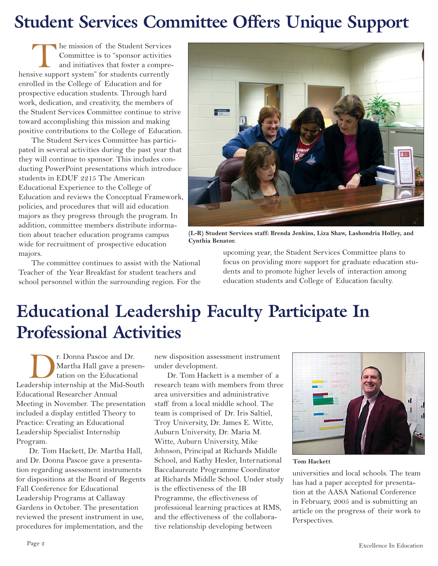# **Student Services Committee Offers Unique Support**

The mission of the Student Services<br>
Committee is to "sponsor activities<br>
and initiatives that foster a compre<br>
hensive support system" for students currently Committee is to "sponsor activities and initiatives that foster a compreenrolled in the College of Education and for prospective education students. Through hard work, dedication, and creativity, the members of the Student Services Committee continue to strive toward accomplishing this mission and making positive contributions to the College of Education.

The Student Services Committee has participated in several activities during the past year that they will continue to sponsor. This includes conducting PowerPoint presentations which introduce students in EDUF 2215 The American Educational Experience to the College of Education and reviews the Conceptual Framework, policies, and procedures that will aid education majors as they progress through the program. In addition, committee members distribute information about teacher education programs campus wide for recruitment of prospective education majors.

The committee continues to assist with the National Teacher of the Year Breakfast for student teachers and school personnel within the surrounding region. For the



**(L-R) Student Services staff: Brenda Jenkins, Liza Shaw, Lashondria Holley, and Cynthia Benator.**

upcoming year, the Student Services Committee plans to focus on providing more support for graduate education students and to promote higher levels of interaction among education students and College of Education faculty.

# **Educational Leadership Faculty Participate In Professional Activities**

Dr. Donna Pascoe and Dr. Leadership internship at the Mid-South Martha Hall gave a presentation on the Educational Educational Researcher Annual Meeting in November. The presentation included a display entitled Theory to Practice: Creating an Educational Leadership Specialist Internship Program.

Dr. Tom Hackett, Dr. Martha Hall, and Dr. Donna Pascoe gave a presentation regarding assessment instruments for dispositions at the Board of Regents Fall Conference for Educational Leadership Programs at Callaway Gardens in October. The presentation reviewed the present instrument in use, procedures for implementation, and the

new disposition assessment instrument under development.

Dr. Tom Hackett is a member of a research team with members from three area universities and administrative staff from a local middle school. The team is comprised of Dr. Iris Saltiel, Troy University, Dr. James E. Witte, Auburn University, Dr. Maria M. Witte, Auburn University, Mike Johnson, Principal at Richards Middle School, and Kathy Hesler, International Baccalaureate Programme Coordinator at Richards Middle School. Under study is the effectiveness of the IB Programme, the effectiveness of professional learning practices at RMS, and the effectiveness of the collaborative relationship developing between



**Tom Hackett**

universities and local schools. The team has had a paper accepted for presentation at the AASA National Conference in February, 2005 and is submitting an article on the progress of their work to Perspectives.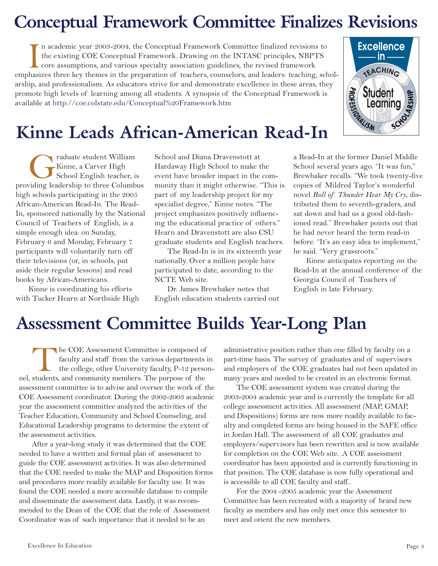# **Conceptual Framework Committee Finalizes Revisions**

In academic year 2003-2004, the Conceptual Framework Committee finalized revisions to the existing COE Conceptual Framework. Drawing on the INTASC principles, NBPTS core assumptions, and various specialty association guide n academic year 2003-2004, the Conceptual Framework Committee finalized revisions to the existing COE Conceptual Framework. Drawing on the INTASC principles, NBPTS core assumptions, and various specialty association guidelines, the revised framework arship, and professionalism. As educators strive for and demonstrate excellence in these areas, they promote high levels of learning among all students. A synopsis of the Conceptual Framework is available at http://coe.colstate.edu/Conceptual%20Framework.htm



# **Kinne Leads African-American Read-In**

**Graduate student William**<br>Kinne, a Carver High<br>School English teacher, is<br>iding leadership to three Columb Kinne, a Carver High School English teacher, is providing leadership to three Columbus high schools participating in the 2005 African-American Read-In. The Read-In, sponsored nationally by the National Council of Teachers of English, is a simple enough idea: on Sunday, February 6 and Monday, February 7 participants will voluntarily turn off their televisions (or, in schools, put aside their regular lessons) and read books by African-Americans.

Kinne is coordinating his efforts with Tucker Hearn at Northside High School and Diana Dravenstott at Hardaway High School to make the event have broader impact in the community than it might otherwise. "This is part of my leadership project for my specialist degree," Kinne notes. "The project emphasizes positively influencing the educational practice of others." Hearn and Dravenstott are also CSU graduate students and English teachers.

The Read-In is in its sixteenth year nationally. Over a million people have participated to date, according to the NCTE Web site.

Dr. James Brewbaker notes that English education students carried out a Read-In at the former Daniel Middle School several years ago. "It was fun," Brewbaker recalls. "We took twenty-five copies of Mildred Taylor's wonderful novel *Roll of Thunder Hear My Cry*, distributed them to seventh-graders, and sat down and had us a good old-fashioned read." Brewbaker points out that he had never heard the term read-in before. "It's an easy idea to implement," he said. "Very grassroots."

Kinne anticipates reporting on the Read-In at the annual conference of the Georgia Council of Teachers of English in late February.

# **Assessment Committee Builds Year-Long Plan**

The COE Assessment Committee is composed of faculty and staff from the various departments the college, other University faculty, P-12 personel, students, and community members. The purpose of the faculty and staff from the various departments in the college, other University faculty, P-12 personassessment committee is to advise and oversee the work of the COE Assessment coordinator. During the 2002-2003 academic year the assessment committee analyzed the activities of the Teacher Education, Community and School Counseling, and Educational Leadership programs to determine the extent of the assessment activities.

After a year-long study it was determined that the COE needed to have a written and formal plan of assessment to guide the COE assessment activities. It was also determined that the COE needed to make the MAP and Disposition forms and procedures more readily available for faculty use. It was found the COE needed a more accessible database to compile and disseminate the assessment data. Lastly, it was recommended to the Dean of the COE that the role of Assessment Coordinator was of such importance that it needed to be an

administrative position rather than one filled by faculty on a part-time basis. The survey of graduates and of supervisors and employers of the COE graduates had not been updated in many years and needed to be created in an electronic format.

The COE assessment system was created during the 2003-2004 academic year and is currently the template for all college assessment activities. All assessment (MAP, GMAP, and Dispositions) forms are now more readily available to faculty and completed forms are being housed in the SAFE office in Jordan Hall. The assessment of all COE graduates and employers/supervisors has been rewritten and is now available for completion on the COE Web site. .A COE assessment coordinator has been appointed and is currently functioning in that position. The COE database is now fully operational and is accessible to all COE faculty and staff..

For the 2004 -2005 academic year the Assessment Committee has been recreated with a majority of brand new faculty as members and has only met once this semester to meet and orient the new members.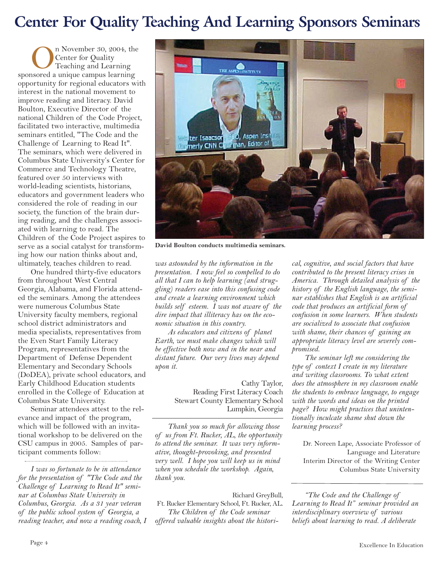#### **Center For Quality Teaching And Learning Sponsors Seminars**

On November 30, 2004, the<br>Center for Quality<br>Teaching and Learning<br>sponsored a unique campus learning Center for Quality Teaching and Learning opportunity for regional educators with interest in the national movement to improve reading and literacy. David Boulton, Executive Director of the national Children of the Code Project, facilitated two interactive, multimedia seminars entitled, "The Code and the Challenge of Learning to Read It". The seminars, which were delivered in Columbus State University's Center for Commerce and Technology Theatre, featured over 50 interviews with world-leading scientists, historians, educators and government leaders who considered the role of reading in our society, the function of the brain during reading, and the challenges associated with learning to read. The Children of the Code Project aspires to serve as a social catalyst for transforming how our nation thinks about and, ultimately, teaches children to read.

One hundred thirty-five educators from throughout West Central Georgia, Alabama, and Florida attended the seminars. Among the attendees were numerous Columbus State University faculty members, regional school district administrators and media specialists, representatives from the Even Start Family Literacy Program, representatives from the Department of Defense Dependent Elementary and Secondary Schools (DoDEA), private school educators, and Early Childhood Education students enrolled in the College of Education at Columbus State University.

Seminar attendees attest to the relevance and impact of the program, which will be followed with an invitational workshop to be delivered on the CSU campus in 2005. Samples of participant comments follow:

*I was so fortunate to be in attendance for the presentation of "The Code and the Challenge of Learning to Read It" seminar at Columbus State University in Columbus, Georgia. As a 31 year veteran of the public school system of Georgia, a reading teacher, and now a reading coach, I*



**David Boulton conducts multimedia seminars.**

*was astounded by the information in the presentation. I now feel so compelled to do all that I can to help learning (and struggling) readers ease into this confusing code and create a learning environment which builds self esteem. I was not aware of the dire impact that illiteracy has on the economic situation in this country.* 

*As educators and citizens of planet Earth, we must make changes which will be effective both now and in the near and distant future. Our very lives may depend upon it.*

> Cathy Taylor, Reading First Literacy Coach Stewart County Elementary School Lumpkin, Georgia

*Thank you so much for allowing those of us from Ft. Rucker, AL, the opportunity to attend the seminar. It was very informative, thought-provoking, and presented very well. I hope you will keep us in mind when you schedule the workshop. Again, thank you.* 

Richard GreyBull, Ft. Rucker Elementary School, Ft. Rucker, AL. *The Children of the Code seminar offered valuable insights about the histori-*

*cal, cognitive, and social factors that have contributed to the present literacy crises in America. Through detailed analysis of the history of the English language, the seminar establishes that English is an artificial code that produces an artificial form of confusion in some learners. When students are socialized to associate that confusion with shame, their chances of gaining an appropriate literacy level are severely compromised.* 

*The seminar left me considering the type of context I create in my literature and writing classrooms. To what extent does the atmosphere in my classroom enable the students to embrace language, to engage with the words and ideas on the printed page? How might practices that unintentionally inculcate shame shut down the learning process?* 

Dr. Noreen Lape, Associate Professor of Language and Literature Interim Director of the Writing Center Columbus State University

*"The Code and the Challenge of Learning to Read It" seminar provided an interdisciplinary overview of various beliefs about learning to read. A deliberate*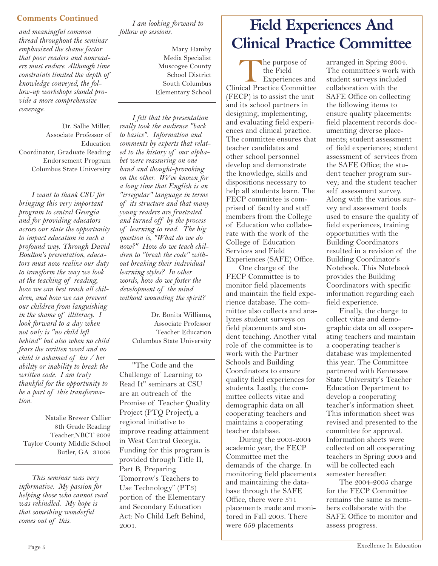#### **Comments Continued**

*and meaningful common thread throughout the seminar emphasized the shame factor that poor readers and nonreaders must endure. Although time constraints limited the depth of knowledge conveyed, the follow-up workshops should provide a more comprehensive coverage*.

Dr. Sallie Miller, Associate Professor of Education Coordinator, Graduate Reading Endorsement Program Columbus State University

*I want to thank CSU for bringing this very important program to central Georgia and for providing educators across our state the opportunity to impact education in such a profound way. Through David Boulton's presentation, educators must now realize our duty to transform the way we look at the teaching of reading, how we can best reach all children, and how we can prevent our children from languishing in the shame of illiteracy. I look forward to a day when not only is "no child left behind" but also when no child fears the written word and no child is ashamed of his / her ability or inability to break the written code. I am truly thankful for the opportunity to be a part of this transformation.*

Natalie Brewer Callier 8th Grade Reading Teacher,NBCT 2002 Taylor County Middle School Butler, GA 31006

*This seminar was very informative. My passion for helping those who cannot read was rekindled. My hope is that something wonderful comes out of this.*

*I am looking forward to follow up sessions.*

> Mary Hamby Media Specialist Muscogee County School District South Columbus Elementary School

*I felt that the presentation really took the audience "back to basics". Information and comments by experts that related to the history of our alphabet were reassuring on one hand and thought-provoking on the other. We've known for a long time that English is an "irregular" language in terms of its structure and that many young readers are frustrated and turned off by the process of learning to read. The big question is, "What do we do now?" How do we teach children to "break the code" without breaking their individual learning styles? In other words, how do we foster the development of the mind without wounding the spirit?*

> Dr. Bonita Williams, Associate Professor Teacher Education Columbus State University

"The Code and the Challenge of Learning to Read It" seminars at CSU are an outreach of the Promise of Teacher Quality Project (PTQ Project), a regional initiative to improve reading attainment in West Central Georgia. Funding for this program is provided through Title II, Part B, Preparing Tomorrow's Teachers to Use Technology" (PT3) portion of the Elementary and Secondary Education Act: No Child Left Behind, 2001.

### **Field Experiences And Clinical Practice Committee**

The purpose of<br>
the Field<br>
Experiences and<br>
Clinical Practice Committee the Field Experiences and (FECP) is to assist the unit and its school partners in designing, implementing, and evaluating field experiences and clinical practice. The committee ensures that teacher candidates and other school personnel develop and demonstrate the knowledge, skills and dispositions necessary to help all students learn. The FECP committee is comprised of faculty and staff members from the College of Education who collaborate with the work of the College of Education Services and Field Experiences (SAFE) Office.

One charge of the FECP Committee is to monitor field placements and maintain the field experience database. The committee also collects and analyzes student surveys on field placements and student teaching. Another vital role of the committee is to work with the Partner Schools and Building Coordinators to ensure quality field experiences for students. Lastly, the committee collects vitae and demographic data on all cooperating teachers and maintains a cooperating teacher database.

During the 2003-2004 academic year, the FECP Committee met the demands of the charge. In monitoring field placements and maintaining the database through the SAFE Office, there were 571 placements made and monitored in Fall 2003. There were 659 placements

arranged in Spring 2004. The committee's work with student surveys included collaboration with the SAFE Office on collecting the following items to ensure quality placements: field placement records documenting diverse placements; student assessment of field experiences; student assessment of services from the SAFE Office; the student teacher program survey; and the student teacher self assessment survey. Along with the various survey and assessment tools used to ensure the quality of field experiences, training opportunities with the Building Coordinators resulted in a revision of the Building Coordinator's Notebook. This Notebook provides the Building Coordinators with specific information regarding each field experience.

Finally, the charge to collect vitae and demographic data on all cooperating teachers and maintain a cooperating teacher's database was implemented this year. The Committee partnered with Kennesaw State University's Teacher Education Department to develop a cooperating teacher's information sheet. This information sheet was revised and presented to the committee for approval. Information sheets were collected on all cooperating teachers in Spring 2004 and will be collected each semester hereafter.

The 2004-2005 charge for the FECP Committee remains the same as members collaborate with the SAFE Office to monitor and assess progress.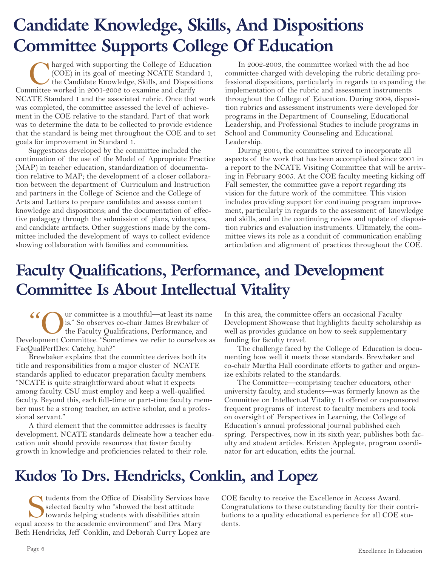# **Candidate Knowledge, Skills, And Dispositions Committee Supports College Of Education**

Charged with supporting the College of Education (COE) in its goal of meeting NCATE Standard 1, the Candidate Knowledge, Skills, and Dispositions unittee worked in 2001-2002 to examine and clarify (COE) in its goal of meeting NCATE Standard 1, the Candidate Knowledge, Skills, and Dispositions Committee worked in 2001-2002 to examine and clarify NCATE Standard 1 and the associated rubric. Once that work was completed, the committee assessed the level of achievement in the COE relative to the standard. Part of that work was to determine the data to be collected to provide evidence that the standard is being met throughout the COE and to set goals for improvement in Standard 1.

Suggestions developed by the committee included the continuation of the use of the Model of Appropriate Practice (MAP) in teacher education, standardization of documentation relative to MAP; the development of a closer collaboration between the department of Curriculum and Instruction and partners in the College of Science and the College of Arts and Letters to prepare candidates and assess content knowledge and dispositions; and the documentation of effective pedagogy through the submission of plans, videotapes, and candidate artifacts. Other suggestions made by the committee included the development of ways to collect evidence showing collaboration with families and communities.

In 2002-2003, the committee worked with the ad hoc committee charged with developing the rubric detailing professional dispositions, particularly in regards to expanding the implementation of the rubric and assessment instruments throughout the College of Education. During 2004, disposition rubrics and assessment instruments were developed for programs in the Department of Counseling, Educational Leadership, and Professional Studies to include programs in School and Community Counseling and Educational Leadership.

During 2004, the committee strived to incorporate all aspects of the work that has been accomplished since 2001 in a report to the NCATE Visiting Committee that will be arriving in February 2005. At the COE faculty meeting kicking off Fall semester, the committee gave a report regarding its vision for the future work of the committee. This vision includes providing support for continuing program improvement, particularly in regards to the assessment of knowledge and skills, and in the continuing review and update of disposition rubrics and evaluation instruments. Ultimately, the committee views its role as a conduit of communication enabling articulation and alignment of practices throughout the COE.

## **Faculty Qualifications, Performance, and Development Committee Is About Intellectual Vitality**

"Committee is a mouthful—at least its name is." So observes co-chair James Brewbaker of the Faculty Qualifications, Performance, and elopment Committee. "Sometimes we refer to ourselves a is." So observes co-chair James Brewbaker of the Faculty Qualifications, Performance, and Development Committee. "Sometimes we refer to ourselves as FacQualPerfDev. Catchy, huh?"

Brewbaker explains that the committee derives both its title and responsibilities from a major cluster of NCATE standards applied to educator preparation faculty members. "NCATE is quite straightforward about what it expects among faculty. CSU must employ and keep a well-qualified faculty. Beyond this, each full-time or part-time faculty member must be a strong teacher, an active scholar, and a professional servant."

A third element that the committee addresses is faculty development. NCATE standards delineate how a teacher education unit should provide resources that foster faculty growth in knowledge and proficiencies related to their role.

In this area, the committee offers an occasional Faculty Development Showcase that highlights faculty scholarship as well as provides guidance on how to seek supplementary funding for faculty travel.

The challenge faced by the College of Education is documenting how well it meets those standards. Brewbaker and co-chair Martha Hall coordinate efforts to gather and organize exhibits related to the standards.

The Committee—comprising teacher educators, other university faculty, and students—was formerly known as the Committee on Intellectual Vitality. It offered or cosponsored frequent programs of interest to faculty members and took on oversight of Perspectives in Learning, the College of Education's annual professional journal published each spring. Perspectives, now in its sixth year, publishes both faculty and student articles. Kristen Applegate, program coordinator for art education, edits the journal.

#### **Kudos To Drs. Hendricks, Conklin, and Lopez**

Students from the Office of Disability Services have<br>selected faculty who "showed the best attitude<br>towards helping students with disabilities attain<br>al access to the academic environment" and Drs. Mary selected faculty who "showed the best attitude" towards helping students with disabilities attain equal access to the academic environment" and Drs. Mary Beth Hendricks, Jeff Conklin, and Deborah Curry Lopez are

COE faculty to receive the Excellence in Access Award. Congratulations to these outstanding faculty for their contributions to a quality educational experience for all COE students.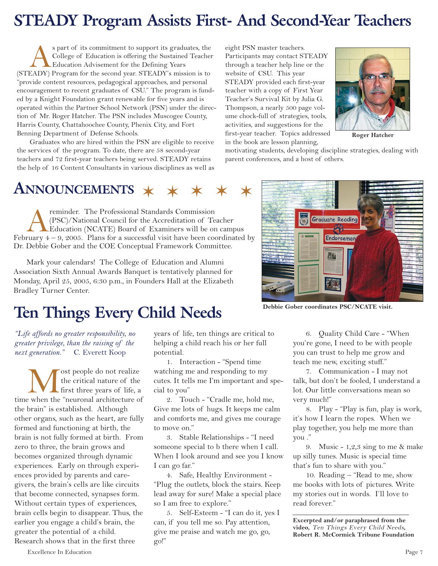## **STEADY Program Assists First- And Second-Year Teachers**

Spart of its commitment to support its graduates, the College of Education is offering the Sustained Teache<br>(STEADY) Program for the second year. STEADY's mission is to College of Education is offering the Sustained Teacher Education Advisement for the Defining Years "provide content resources, pedagogical approaches, and personal encouragement to recent graduates of CSU." The program is funded by a Knight Foundation grant renewable for five years and is operated within the Partner School Network (PSN) under the direction of Mr. Roger Hatcher. The PSN includes Muscogee County, Harris County, Chattahoochee County, Phenix City, and Fort Benning Department of Defense Schools.

Graduates who are hired within the PSN are eligible to receive the services of the program. To date, there are 58 second-year teachers and 72 first-year teachers being served. STEADY retains the help of 16 Content Consultants in various disciplines as well as eight PSN master teachers. Participants may contact STEADY through a teacher help line or the website of CSU. This year STEADY provided each first-year teacher with a copy of First Year Teacher's Survival Kit by Julia G. Thompson, a nearly 500 page volume chock-full of strategies, tools, activities, and suggestions for the first-year teacher. Topics addressed in the book are lesson planning,



**Roger Hatcher**

motivating students, developing discipline strategies, dealing with parent conferences, and a host of others.



reminder. The Professional Standards Commission<br>(PSC)/National Council for the Accreditation of Te<br>Education (NCATE) Board of Examiners will be on<br>ruary 4 – 9, 2005. Plans for a successful visit have been co (PSC)/National Council for the Accreditation of Teacher Education (NCATE) Board of Examiners will be on campus February  $4 - 9$ , 2005. Plans for a successful visit have been coordinated by Dr. Debbie Gober and the COE Conceptual Framework Committee.

Mark your calendars! The College of Education and Alumni Association Sixth Annual Awards Banquet is tentatively planned for Monday, April 25, 2005, 6:30 p.m., in Founders Hall at the Elizabeth Bradley Turner Center.

### **Ten Things Every Child Needs**

*"Life affords no greater responsibility, no greater privilege, than the raising of the next generation."* C. Everett Koop

**M** ost people do not realize<br>the critical nature of the<br>first three years of life, a<br>time when the "neuronal architecture of the critical nature of the **L** first three years of life, a the brain" is established. Although other organs, such as the heart, are fully formed and functioning at birth, the brain is not fully formed at birth. From zero to three, the brain grows and becomes organized through dynamic experiences. Early on through experiences provided by parents and caregivers, the brain's cells are like circuits that become connected, synapses form. Without certain types of experiences, brain cells begin to disappear. Thus, the earlier you engage a child's brain, the greater the potential of a child. Research shows that in the first three

years of life, ten things are critical to helping a child reach his or her full potential.

1. Interaction - "Spend time watching me and responding to my cutes. It tells me I'm important and special to you"

2. Touch - "Cradle me, hold me, Give me lots of hugs. It keeps me calm and comforts me, and gives me courage to move on."

3. Stable Relationships - "I need someone special to b there when I call. When I look around and see you I know I can go far."

4. Safe, Healthy Environment - "Plug the outlets, block the stairs. Keep lead away for sure! Make a special place so I am free to explore."

5. Self-Esteem - "I can do it, yes I can, if you tell me so. Pay attention, give me praise and watch me go, go, go!"

6. Quality Child Care - "When you're gone, I need to be with people you can trust to help me grow and teach me new, exciting stuff."

7. Communication - I may not talk, but don't be fooled, I understand a lot. Our little conversations mean so very much!"

8. Play - "Play is fun, play is work, it's how I learn the ropes. When we play together, you help me more than you ."

9. Music - 1,2,3 sing to me & make up silly tunes. Music is special time that's fun to share with you."

10. Reading – "Read to me, show me books with lots of pictures. Write my stories out in words. I'll love to read forever."

**Excerpted and/or paraphrased from the video,** Ten Things Every Child Needs**, Robert R. McCormick Tribune Foundation**

Excellence In Education Page 7

**Graduate Reading** Endorsemen

#### **Debbie Gober coordinates PSC/NCATE visit.**